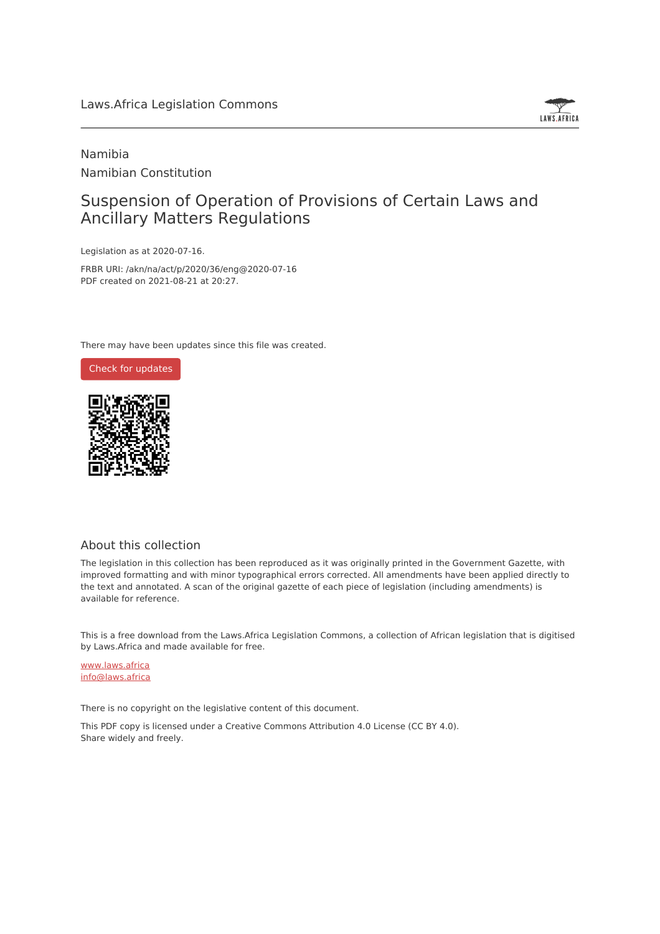

# Namibia Namibian Constitution

# Suspension of Operation of Provisions of Certain Laws and Ancillary Matters Regulations

Legislation as at 2020-07-16.

FRBR URI: /akn/na/act/p/2020/36/eng@2020-07-16 PDF created on 2021-08-21 at 20:27.

There may have been updates since this file was created.



### About this collection

The legislation in this collection has been reproduced as it was originally printed in the Government Gazette, with improved formatting and with minor typographical errors corrected. All amendments have been applied directly to the text and annotated. A scan of the original gazette of each piece of legislation (including amendments) is available for reference.

This is a free download from the Laws.Africa Legislation Commons, a collection of African legislation that is digitised by Laws.Africa and made available for free.

[www.laws.africa](https://www.laws.africa) [info@laws.africa](mailto:info@laws.africa)

There is no copyright on the legislative content of this document.

This PDF copy is licensed under a Creative Commons Attribution 4.0 License (CC BY 4.0). Share widely and freely.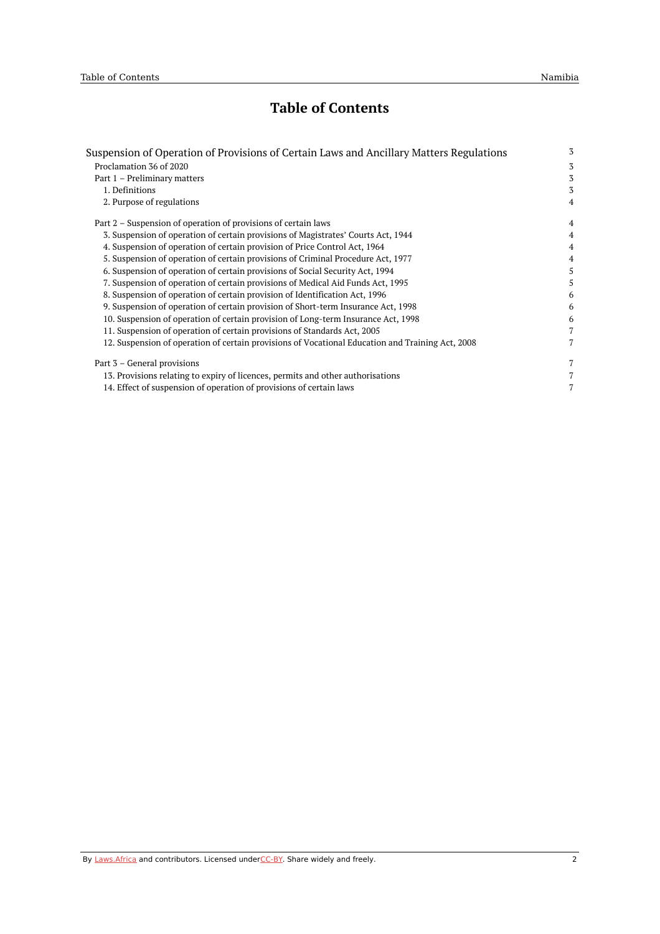# **Table of Contents**

| Suspension of Operation of Provisions of Certain Laws and Ancillary Matters Regulations          | 3              |
|--------------------------------------------------------------------------------------------------|----------------|
| Proclamation 36 of 2020                                                                          | 3              |
| Part 1 - Preliminary matters                                                                     | 3              |
| 1. Definitions                                                                                   | 3              |
| 2. Purpose of regulations                                                                        | $\overline{4}$ |
| Part 2 – Suspension of operation of provisions of certain laws                                   | $\overline{4}$ |
| 3. Suspension of operation of certain provisions of Magistrates' Courts Act, 1944                | 4              |
| 4. Suspension of operation of certain provision of Price Control Act, 1964                       | 4              |
| 5. Suspension of operation of certain provisions of Criminal Procedure Act, 1977                 | 4              |
| 6. Suspension of operation of certain provisions of Social Security Act, 1994                    | 5              |
| 7. Suspension of operation of certain provisions of Medical Aid Funds Act, 1995                  | 5              |
| 8. Suspension of operation of certain provision of Identification Act, 1996                      | 6              |
| 9. Suspension of operation of certain provision of Short-term Insurance Act, 1998                | 6              |
| 10. Suspension of operation of certain provision of Long-term Insurance Act, 1998                | 6              |
| 11. Suspension of operation of certain provisions of Standards Act, 2005                         | 7              |
| 12. Suspension of operation of certain provisions of Vocational Education and Training Act, 2008 | 7              |
| Part 3 – General provisions                                                                      | $\overline{7}$ |
| 13. Provisions relating to expiry of licences, permits and other authorisations                  | 7              |
| 14. Effect of suspension of operation of provisions of certain laws                              | 7              |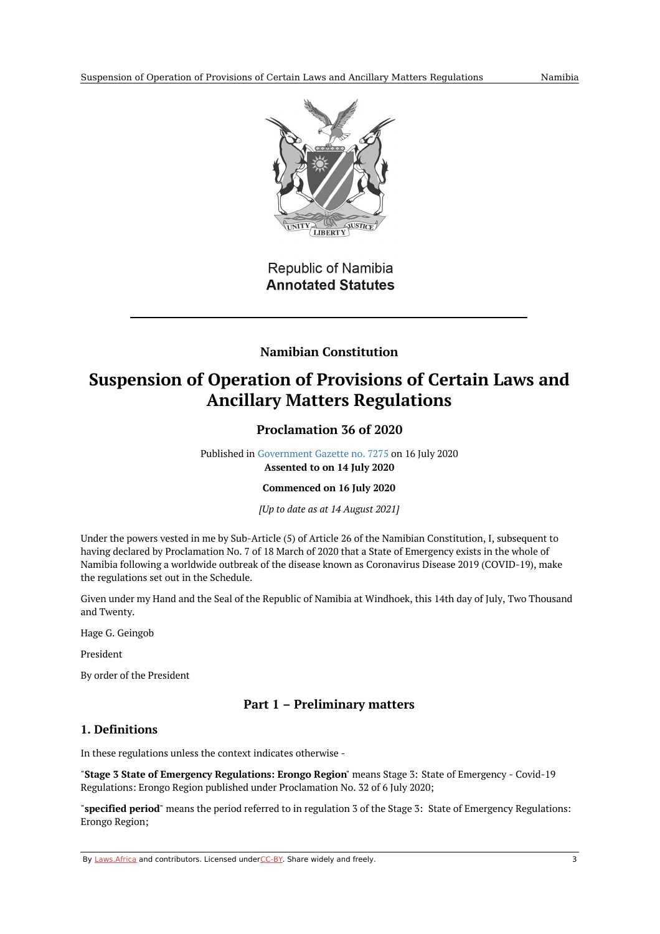

Republic of Namibia **Annotated Statutes** 

## **Namibian Constitution**

# <span id="page-2-1"></span><span id="page-2-0"></span>**Suspension of Operation of Provisions of Certain Laws and Ancillary Matters Regulations**

## **Proclamation 36 of 2020**

Published in [Government](https://commons.laws.africa/akn/na/act/p/2020/36/media/publication/na-act-p-2020-36-publication-document.pdf) Gazette no. 7275 on 16 July 2020 **Assented to on 14 July 2020**

**Commenced on 16 July 2020**

*[Up to date as at 14 August 2021]*

Under the powers vested in me by Sub-Article (5) of Article 26 of the Namibian Constitution, I, subsequent to having declared by Proclamation No. 7 of 18 March of 2020 that a State of Emergency exists in the whole of Namibia following a worldwide outbreak of the disease known as Coronavirus Disease 2019 (COVID-19), make the regulations set out in the Schedule.

Given under my Hand and the Seal of the Republic of Namibia at Windhoek, this 14th day of July, Two Thousand and Twenty.

Hage G. Geingob

President

By order of the President

## **Part 1 – Preliminary matters**

## <span id="page-2-3"></span><span id="page-2-2"></span>**1. Definitions**

In these regulations unless the context indicates otherwise -

"**Stage 3 State of Emergency Regulations: Erongo Region**" means Stage 3: State of Emergency - Covid-19 Regulations: Erongo Region published under Proclamation No. 32 of 6 July 2020;

"**specified period**" means the period referred to in regulation 3 of the Stage 3: State of Emergency Regulations: Erongo Region;

By [Laws.Africa](https://edit.laws.africa/widgets/pdf-attribution) and contributors. Licensed und[erCC-B](https://edit.laws.africa/widgets/pdf-cc-by)Y. Share widely and freely. 3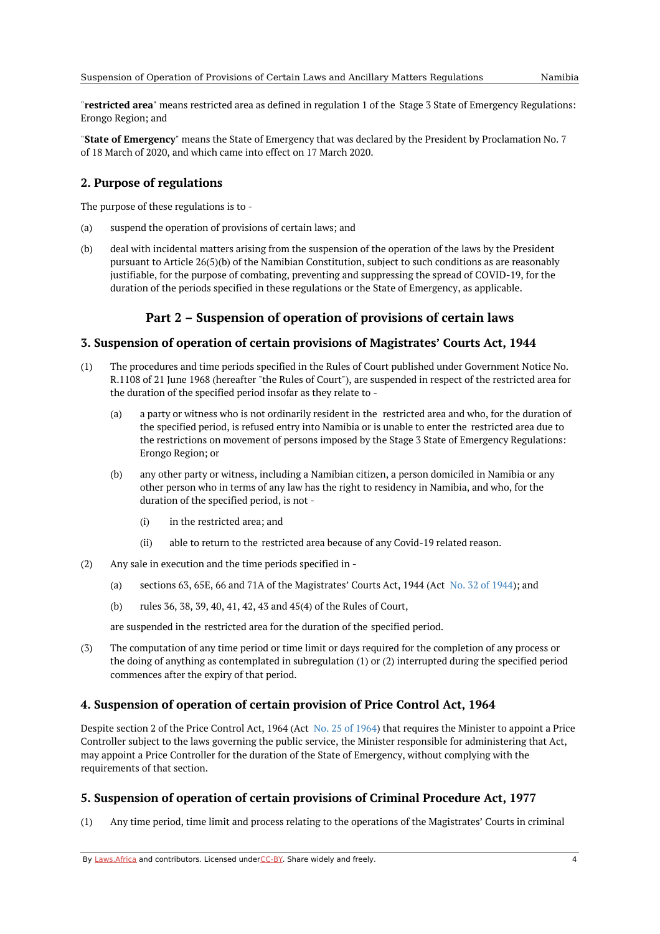"**restricted area**" means restricted area as defined in regulation 1 of the Stage 3 State of Emergency Regulations: Erongo Region; and

"**State of Emergency**" means the State of Emergency that was declared by the President by Proclamation No. 7 of 18 March of 2020, and which came into effect on 17 March 2020.

### <span id="page-3-0"></span>**2. Purpose of regulations**

The purpose of these regulations is to -

- (a) suspend the operation of provisions of certain laws; and
- (b) deal with incidental matters arising from the suspension of the operation of the laws by the President pursuant to Article 26(5)(b) of the Namibian Constitution, subject to such conditions as are reasonably justifiable, for the purpose of combating, preventing and suppressing the spread of COVID-19, for the duration of the periods specified in these regulations or the State of Emergency, as applicable.

## **Part 2 – Suspension of operation of provisions of certain laws**

### <span id="page-3-2"></span><span id="page-3-1"></span>**3. Suspension of operation of certain provisions of Magistrates' Courts Act, 1944**

- (1) The procedures and time periods specified in the Rules of Court published under Government Notice No. R.1108 of 21 June 1968 (hereafter "the Rules of Court"), are suspended in respect of the restricted area for the duration of the specified period insofar as they relate to -
	- (a) a party or witness who is not ordinarily resident in the restricted area and who, for the duration of the specified period, is refused entry into Namibia or is unable to enter the restricted area due to the restrictions on movement of persons imposed by the Stage 3 State of Emergency Regulations: Erongo Region; or
	- (b) any other party or witness, including a Namibian citizen, a person domiciled in Namibia or any other person who in terms of any law has the right to residency in Namibia, and who, for the duration of the specified period, is not -
		- (i) in the restricted area; and
		- (ii) able to return to the restricted area because of any Covid-19 related reason.
- (2) Any sale in execution and the time periods specified in -
	- (a) sections 63, 65E, 66 and 71A of the Magistrates' Courts Act, 1944 (Act No. 32 of [1944](https://africanlii.org/akn/na/act/1944/32)); and
	- (b) rules 36, 38, 39, 40, 41, 42, 43 and 45(4) of the Rules of Court,

are suspended in the restricted area for the duration of the specified period.

(3) The computation of any time period or time limit or days required for the completion of any process or the doing of anything as contemplated in subregulation (1) or (2) interrupted during the specified period commences after the expiry of that period.

### <span id="page-3-3"></span>**4. Suspension of operation of certain provision of Price Control Act, 1964**

Despite section 2 of the Price Control Act, 1964 (Act No. 25 of [1964](https://africanlii.org/akn/na/act/1964/25)) that requires the Minister to appoint a Price Controller subject to the laws governing the public service, the Minister responsible for administering that Act, may appoint a Price Controller for the duration of the State of Emergency, without complying with the requirements of that section.

### <span id="page-3-4"></span>**5. Suspension of operation of certain provisions of Criminal Procedure Act, 1977**

(1) Any time period, time limit and process relating to the operations of the Magistrates' Courts in criminal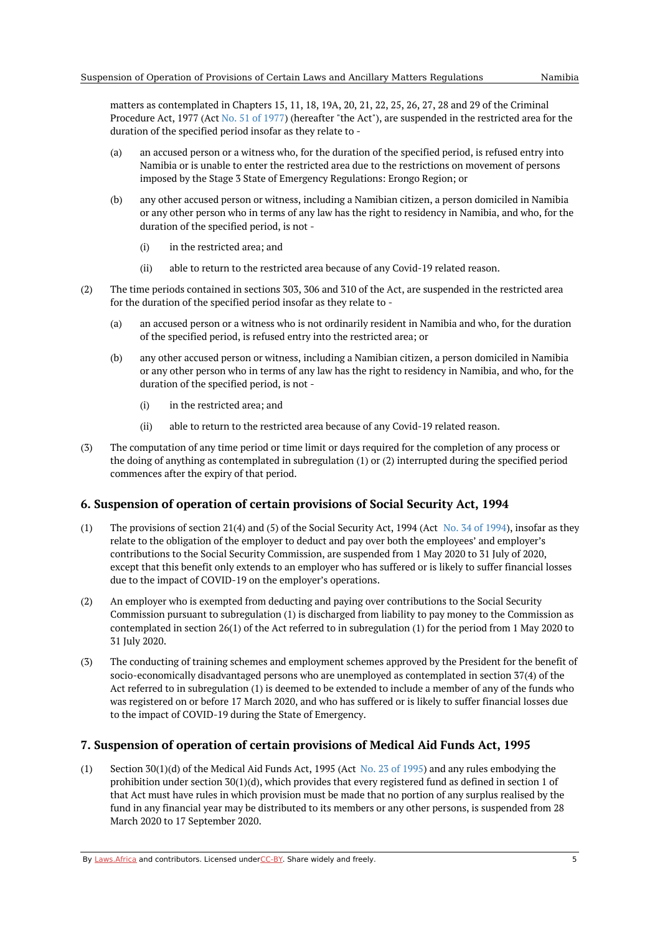matters as contemplated in Chapters 15, 11, 18, 19A, 20, 21, 22, 25, 26, 27, 28 and 29 of the Criminal Procedure Act, 1977 (Act No. 51 of [1977](https://africanlii.org/akn/na/act/1977/51)) (hereafter "the Act"), are suspended in the restricted area for the duration of the specified period insofar as they relate to -

- (a) an accused person or a witness who, for the duration of the specified period, is refused entry into Namibia or is unable to enter the restricted area due to the restrictions on movement of persons imposed by the Stage 3 State of Emergency Regulations: Erongo Region; or
- (b) any other accused person or witness, including a Namibian citizen, a person domiciled in Namibia or any other person who in terms of any law has the right to residency in Namibia, and who, for the duration of the specified period, is not -
	- (i) in the restricted area; and
	- (ii) able to return to the restricted area because of any Covid-19 related reason.
- (2) The time periods contained in sections 303, 306 and 310 of the Act, are suspended in the restricted area for the duration of the specified period insofar as they relate to -
	- (a) an accused person or a witness who is not ordinarily resident in Namibia and who, for the duration of the specified period, is refused entry into the restricted area; or
	- (b) any other accused person or witness, including a Namibian citizen, a person domiciled in Namibia or any other person who in terms of any law has the right to residency in Namibia, and who, for the duration of the specified period, is not -
		- (i) in the restricted area; and
		- (ii) able to return to the restricted area because of any Covid-19 related reason.
- (3) The computation of any time period or time limit or days required for the completion of any process or the doing of anything as contemplated in subregulation (1) or (2) interrupted during the specified period commences after the expiry of that period.

### <span id="page-4-0"></span>**6. Suspension of operation of certain provisions of Social Security Act, 1994**

- (1) The provisions of section 21(4) and (5) of the Social Security Act, 1994 (Act No. 34 of [1994](https://africanlii.org/akn/na/act/1994/34)), insofar as they relate to the obligation of the employer to deduct and pay over both the employees' and employer's contributions to the Social Security Commission, are suspended from 1 May 2020 to 31 July of 2020, except that this benefit only extends to an employer who has suffered or is likely to suffer financial losses due to the impact of COVID-19 on the employer's operations.
- (2) An employer who is exempted from deducting and paying over contributions to the Social Security Commission pursuant to subregulation (1) is discharged from liability to pay money to the Commission as contemplated in section 26(1) of the Act referred to in subregulation (1) for the period from 1 May 2020 to 31 July 2020.
- (3) The conducting of training schemes and employment schemes approved by the President for the benefit of socio-economically disadvantaged persons who are unemployed as contemplated in section 37(4) of the Act referred to in subregulation (1) is deemed to be extended to include a member of any of the funds who was registered on or before 17 March 2020, and who has suffered or is likely to suffer financial losses due to the impact of COVID-19 during the State of Emergency.

#### <span id="page-4-1"></span>**7. Suspension of operation of certain provisions of Medical Aid Funds Act, 1995**

(1) Section 30(1)(d) of the Medical Aid Funds Act, [1995](https://africanlii.org/akn/na/act/1995/23) (Act No. 23 of 1995) and any rules embodying the prohibition under section 30(1)(d), which provides that every registered fund as defined in section 1 of that Act must have rules in which provision must be made that no portion of any surplus realised by the fund in any financial year may be distributed to its members or any other persons, is suspended from 28 March 2020 to 17 September 2020.

By [Laws.Africa](https://edit.laws.africa/widgets/pdf-attribution) and contributors. Licensed und[erCC-B](https://edit.laws.africa/widgets/pdf-cc-by)Y. Share widely and freely.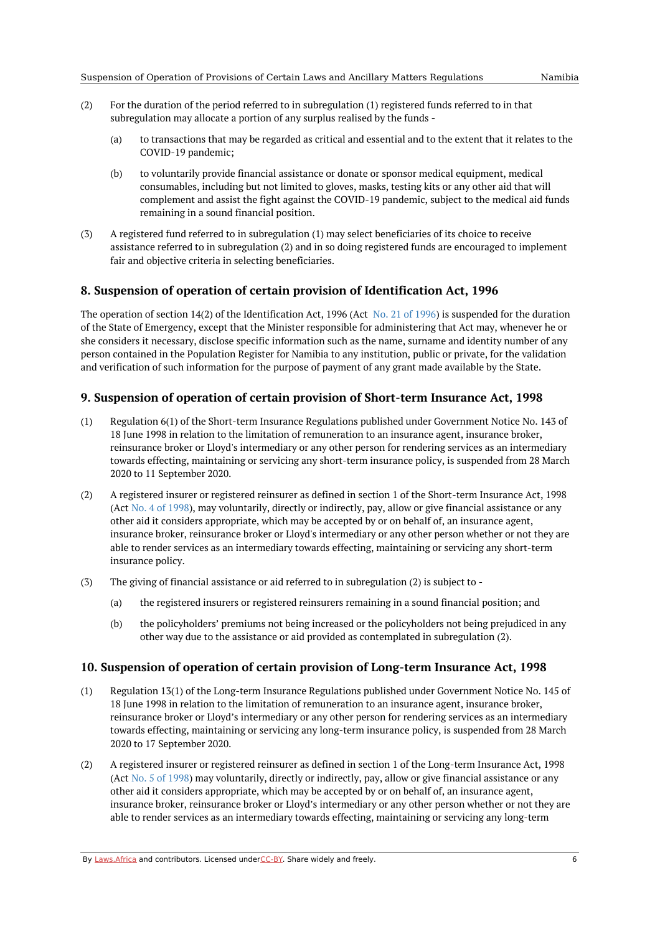- (2) For the duration of the period referred to in subregulation (1) registered funds referred to in that subregulation may allocate a portion of any surplus realised by the funds -
	- (a) to transactions that may be regarded as critical and essential and to the extent that it relates to the COVID-19 pandemic;
	- (b) to voluntarily provide financial assistance or donate or sponsor medical equipment, medical consumables, including but not limited to gloves, masks, testing kits or any other aid that will complement and assist the fight against the COVID-19 pandemic, subject to the medical aid funds remaining in a sound financial position.
- (3) A registered fund referred to in subregulation (1) may select beneficiaries of its choice to receive assistance referred to in subregulation (2) and in so doing registered funds are encouraged to implement fair and objective criteria in selecting beneficiaries.

### <span id="page-5-0"></span>**8. Suspension of operation of certain provision of Identification Act, 1996**

The operation of section 14(2) of the Identification Act, 1996 (Act No. 21 of [1996](https://africanlii.org/akn/na/act/1996/21)) is suspended for the duration of the State of Emergency, except that the Minister responsible for administering that Act may, whenever he or she considers it necessary, disclose specific information such as the name, surname and identity number of any person contained in the Population Register for Namibia to any institution, public or private, for the validation and verification of such information for the purpose of payment of any grant made available by the State.

#### <span id="page-5-1"></span>**9. Suspension of operation of certain provision of Short-term Insurance Act, 1998**

- (1) Regulation 6(1) of the Short-term Insurance Regulations published under Government Notice No. 143 of 18 June 1998 in relation to the limitation of remuneration to an insurance agent, insurance broker, reinsurance broker or Lloyd's intermediary or any other person for rendering services as an intermediary towards effecting, maintaining or servicing any short-term insurance policy, is suspended from 28 March 2020 to 11 September 2020.
- (2) A registered insurer or registered reinsurer as defined in section 1 of the Short-term Insurance Act, 1998 (Act No. 4 of [1998](https://africanlii.org/akn/na/act/1998/4)), may voluntarily, directly or indirectly, pay, allow or give financial assistance or any other aid it considers appropriate, which may be accepted by or on behalf of, an insurance agent, insurance broker, reinsurance broker or Lloyd's intermediary or any other person whether or not they are able to render services as an intermediary towards effecting, maintaining or servicing any short-term insurance policy.
- (3) The giving of financial assistance or aid referred to in subregulation (2) is subject to -
	- (a) the registered insurers or registered reinsurers remaining in a sound financial position; and
	- (b) the policyholders' premiums not being increased or the policyholders not being prejudiced in any other way due to the assistance or aid provided as contemplated in subregulation (2).

#### <span id="page-5-2"></span>**10. Suspension of operation of certain provision of Long-term Insurance Act, 1998**

- (1) Regulation 13(1) of the Long-term Insurance Regulations published under Government Notice No. 145 of 18 June 1998 in relation to the limitation of remuneration to an insurance agent, insurance broker, reinsurance broker or Lloyd's intermediary or any other person for rendering services as an intermediary towards effecting, maintaining or servicing any long-term insurance policy, is suspended from 28 March 2020 to 17 September 2020.
- (2) A registered insurer or registered reinsurer as defined in section 1 of the Long-term Insurance Act, 1998 (Act No. 5 of [1998](https://africanlii.org/akn/na/act/1998/5)) may voluntarily, directly or indirectly, pay, allow or give financial assistance or any other aid it considers appropriate, which may be accepted by or on behalf of, an insurance agent, insurance broker, reinsurance broker or Lloyd's intermediary or any other person whether or not they are able to render services as an intermediary towards effecting, maintaining or servicing any long-term

By [Laws.Africa](https://edit.laws.africa/widgets/pdf-attribution) and contributors. Licensed und[erCC-B](https://edit.laws.africa/widgets/pdf-cc-by)Y. Share widely and freely.